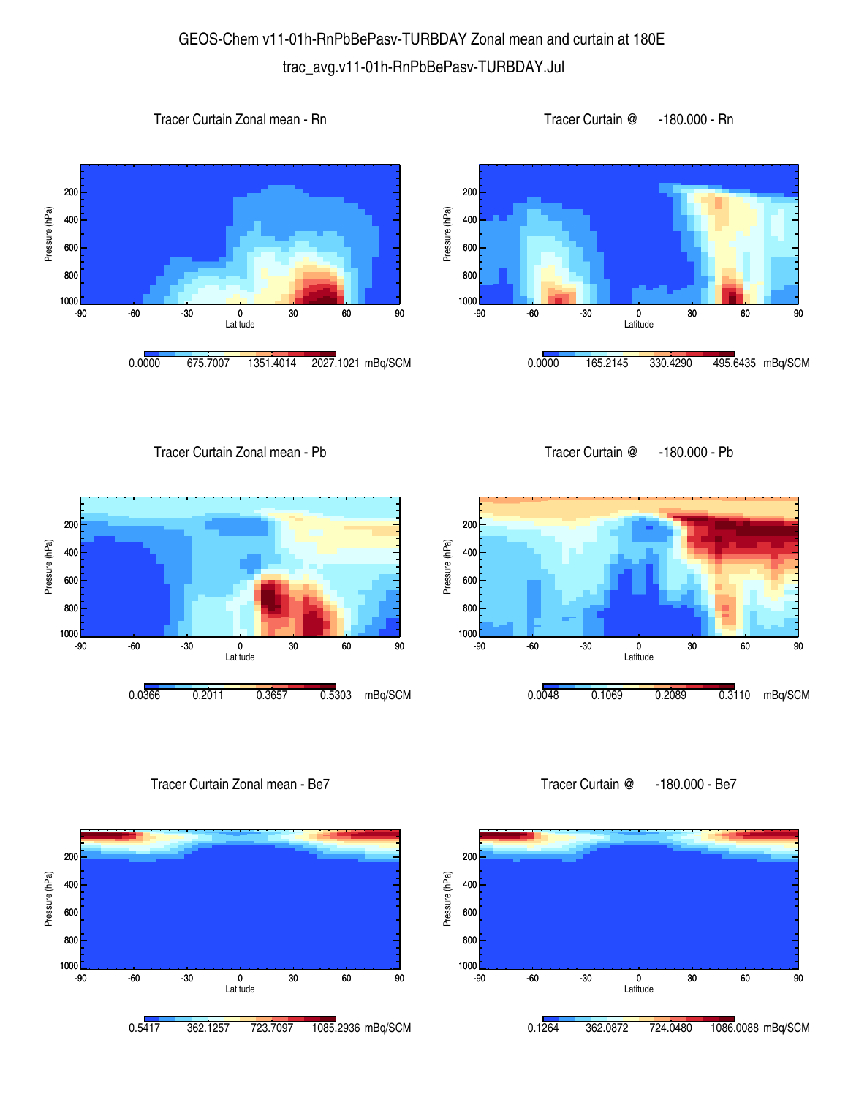## GEOS-Chem v11-01h-RnPbBePasv-TURBDAY Zonal mean and curtain at 180E trac\_avg.v11-01h-RnPbBePasv-TURBDAY.Jul









Tracer Curtain Zonal mean - Pb





Tracer Curtain Zonal mean - Be7





Tracer Curtain @ -180.000 - Be7